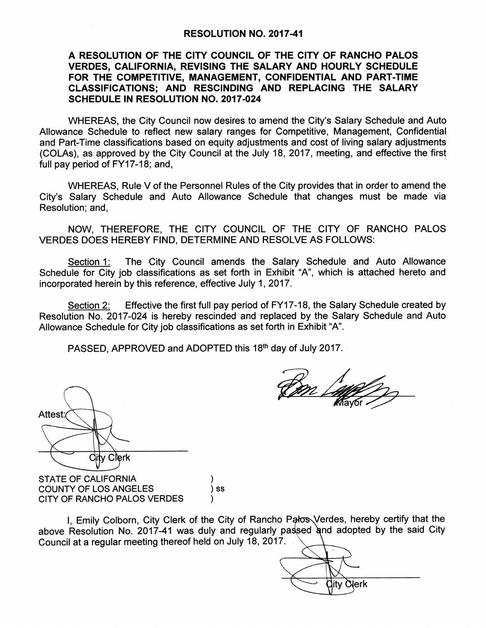## RESOLUTION NO. 2017-41

## A RESOLUTION OF THE CITY COUNCIL OF THE CITY OF RANCHO PALOS VERDES, CALIFORNIA, REVISING THE SALARY AND HOURLY SCHEDULE FOR THE COMPETITIVE, MANAGEMENT, CONFIDENTIAL AND PART-TIME CLASSIFICATIONS; AND RESCINDING AND REPLACING THE SALARY SCHEDULE IN RESOLUTION NO. 2017-024

WHEREAS, the City Council now desires to amend the City's Salary Schedule and Auto Allowance Schedule to reflect new salary ranges for Competitive, Management, Confidential and Part-Time classifications based on equity adjustments and cost of living salary adjustments COLAs), as approved by the City Council at the July 18, 2017, meeting, and effective the first full pay period of FY17-18; and,

WHEREAS, Rule V of the Personnel Rules of the City provides that in order to amend the City'<sup>s</sup> Salary Schedule and Auto Allowance Schedule that changes must be made via Resolution; and,

NOW, THEREFORE, THE CITY COUNCIL OF THE CITY OF RANCHO PALOS VERDES DOES HEREBY FIND, DETERMINE AND RESOLVE AS FOLLOWS:

Section 1: The City Council amends the Salary Schedule and Auto Allowance Schedule for City job classifications as set forth in Exhibit "A", which is attached hereto and incorporated herein by this reference, effective July 1, 2017.

Section 2: Effective the first full pay period of FY17-18, the Salary Schedule created by Resolution No. 2017-024 is hereby rescinded and replaced by the Salary Schedule and Auto Allowance Schedule for City job classifications as set forth in Exhibit "A".

—<br>4

PASSED, APPROVED and ADOPTED this 18<sup>th</sup> day of July 2017.

Attest:  $\leftarrow$ 

STATE OF CALIFORNIA COUNTY OF LOS ANGELES (3) SS CITY OF RANCHO PALOS VERDES

 $\mathcal{E}$ 

I, Emily Colborn, City Clerk of the City of Rancho Palos Verdes, hereby certify that the above Resolution No. 2017-41 was duly and regularly passed and adopted by the said City Council at a regular meeting thereof held on July 18, 2017.

 $\sum$ Gity c ity Ölerk

r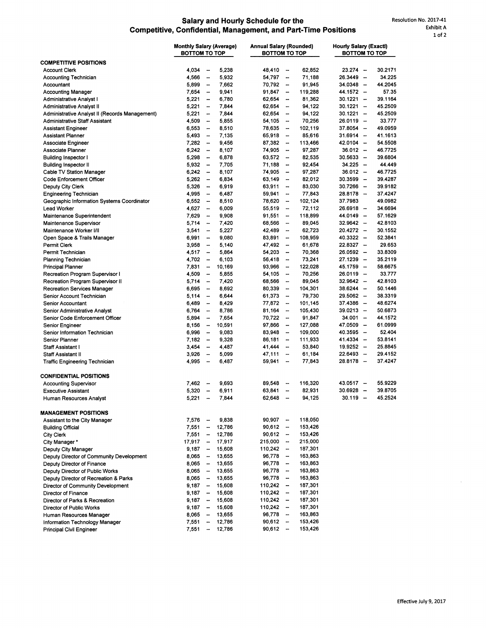## Salary and Hourly Schedule for the Resolution No. 2017-41<br>Confidential Management, and Part-Time Positions Exhibit A Competitive, Confidential, Management, and Part-Time Positions

|                                                | <b>Monthly Salary (Average)</b><br><b>BOTTOM TO TOP</b> |                          | <b>Annual Salary (Rounded)</b><br><b>BOTTOM TO TOP</b> |             |                          | <b>Hourly Salary (Exactl)</b><br>ВОТТОМ ТО ТОР |             |  |         |
|------------------------------------------------|---------------------------------------------------------|--------------------------|--------------------------------------------------------|-------------|--------------------------|------------------------------------------------|-------------|--|---------|
| <b>COMPETITIVE POSITIONS</b>                   |                                                         |                          |                                                        |             |                          |                                                |             |  |         |
| <b>Account Clerk</b>                           | 4,034                                                   | $\overline{\phantom{a}}$ | 5,238                                                  | 48,410      | $\overline{\phantom{a}}$ | 62,852                                         | $23.274 -$  |  | 30.2171 |
| <b>Accounting Technician</b>                   | 4,566                                                   | --                       | 5,932                                                  | 54,797      | $\overline{\phantom{a}}$ | 71,188                                         | $26.3449 -$ |  | 34.225  |
| Accountant                                     | 5,899                                                   | $\overline{\phantom{a}}$ | 7,662                                                  | 70,792      | $\overline{\phantom{a}}$ | 91,945                                         | $34.0348 -$ |  | 44.2045 |
| <b>Accounting Manager</b>                      | 7,654                                                   | $\overline{\phantom{a}}$ | 9,941                                                  | $91,847 -$  |                          | 119,288                                        | 44.1572 -   |  | 57.35   |
| Administrative Analyst I                       | 5,221                                                   | $\overline{\phantom{a}}$ | 6,780                                                  | 62,654      | $\overline{\phantom{a}}$ | 81,362                                         | $30.1221 -$ |  | 39.1164 |
| Administrative Analyst II                      | 5,221                                                   | -                        | 7,844                                                  | 62,654      | $\overline{\phantom{a}}$ | 94,122                                         | $30.1221 -$ |  | 45.2509 |
| Administrative Analyst II (Records Management) | 5,221                                                   | -                        | 7,844                                                  | 62,654      | $\overline{\phantom{a}}$ | 94,122                                         | $30.1221 -$ |  | 45.2509 |
| <b>Administrative Staff Assistant</b>          | 4,509                                                   |                          | 5,855                                                  | 54,105      | $\overline{\phantom{a}}$ | 70,256                                         | $26.0119 -$ |  | 33.777  |
| <b>Assistant Engineer</b>                      | 6,553                                                   | -                        | 8,510                                                  | 78,635      | $\overline{\phantom{a}}$ | 102,119                                        | $37.8054 -$ |  | 49.0959 |
| <b>Assistant Planner</b>                       | 5,493                                                   |                          | 7,135                                                  | 65,918      | $\overline{\phantom{a}}$ | 85,616                                         | $31.6914 -$ |  | 41.1613 |
| Associate Engineer                             | 7,282                                                   | $\overline{\phantom{m}}$ | 9,456                                                  | $87,382 -$  |                          | 113,466                                        | $42.0104 -$ |  | 54.5508 |
| Associate Planner                              | 6,242                                                   | -                        | 8,107                                                  | 74,905      | $\sim$                   | 97,287                                         | 36.012 -    |  | 46.7725 |
| <b>Building Inspector I</b>                    | 5,298                                                   | $\overline{\phantom{a}}$ | 6,878                                                  | $63,572 -$  |                          | 82,535                                         | $30.5633 -$ |  | 39.6804 |
| <b>Building Inspector II</b>                   | 5,932                                                   | $\frac{1}{2}$            | 7,705                                                  | 71,188      | $\overline{\phantom{a}}$ | 92,454                                         | 34.225 –    |  | 44.449  |
| Cable TV Station Manager                       | 6,242                                                   | $\overline{\phantom{m}}$ | 8,107                                                  | 74,905      | $\overline{\phantom{a}}$ | 97,287                                         | $36.012 -$  |  | 46.7725 |
| Code Enforcement Officer                       | 5,262                                                   | $\overline{\phantom{a}}$ | 6,834                                                  | 63,149      | $\frac{1}{2}$            | 82,012                                         | $30.3599 -$ |  | 39.4287 |
| Deputy City Clerk                              | 5,326                                                   | $\overline{\phantom{a}}$ | 6,919                                                  | 63,911      | $\overline{\phantom{a}}$ | 83,030                                         | $30.7266 -$ |  | 39.9182 |
| <b>Engineering Technician</b>                  | 4,995                                                   | $\overline{\phantom{a}}$ | 6,487                                                  | 59,941      | $\overline{\phantom{a}}$ | 77,843                                         | $28.8178 -$ |  | 37.4247 |
| Geographic Information Systems Coordinator     | 6,552                                                   | $\overline{\phantom{a}}$ | 8,510                                                  | 78,620      | $\overline{\phantom{a}}$ | 102,124                                        | 37.7983     |  | 49.0982 |
| <b>Lead Worker</b>                             | 4,627                                                   | $\overline{\phantom{m}}$ | 6,009                                                  | 55,519      | $\overline{\phantom{a}}$ | 72,112                                         | $26.6918 -$ |  | 34.6694 |
| Maintenance Superintendent                     | 7,629                                                   | $\overline{\phantom{a}}$ | 9,908                                                  | 91,551      | $\sim$                   | 118,899                                        | 44.0149 -   |  | 57.1629 |
| Maintenance Supervisor                         | 5,714                                                   | $\overline{\phantom{a}}$ | 7,420                                                  | 68,566      | $\overline{\phantom{a}}$ | 89,045                                         | $32.9642 -$ |  | 42.8103 |
| Maintenance Worker I/II                        | 3,541                                                   | -                        | 5,227                                                  | 42,489      | $\overline{\phantom{a}}$ | 62,723                                         | $20.4272 -$ |  | 30.1552 |
| Open Space & Trails Manager                    | 6,991                                                   | $\overline{\phantom{a}}$ | 9,080                                                  | 83.891      | $\overline{\phantom{a}}$ | 108,959                                        | $40.3322 -$ |  | 52.3841 |
| Permit Clerk                                   | 3,958                                                   | -                        | 5,140                                                  | 47,492      | $\overline{\phantom{a}}$ | 61,678                                         | $22.8327 -$ |  | 29.653  |
| Permit Technician                              | 4,517                                                   | $\overline{\phantom{a}}$ | 5,864                                                  | 54,203      | $\overline{\phantom{a}}$ | 70.368                                         | $26.0592 -$ |  | 33.8309 |
| <b>Planning Technician</b>                     | 4,702                                                   | $\overline{\phantom{a}}$ | 6,103                                                  | 56,418      | $\overline{\phantom{a}}$ | 73,241                                         | $27.1239 -$ |  | 35.2119 |
| <b>Principal Planner</b>                       | 7,831                                                   | $\overline{\phantom{a}}$ | 10,169                                                 | 93,966      | $\overline{\phantom{a}}$ | 122,028                                        | 45.1759 -   |  | 58.6675 |
| Recreation Program Supervisor I                | 4,509                                                   | -                        | 5,855                                                  | 54,105      | $\overline{\phantom{a}}$ | 70,256                                         | $26.0119 -$ |  | 33.777  |
| Recreation Program Supervisor II               | 5,714                                                   | $\overline{\phantom{a}}$ | 7,420                                                  | 68,566      | $\overline{\phantom{a}}$ | 89,045                                         | $32.9642 -$ |  | 42.8103 |
| <b>Recreation Services Manager</b>             | 6,695                                                   | $\overline{\phantom{a}}$ | 8,692                                                  | 80,339      | $\overline{\phantom{a}}$ | 104,301                                        | $38.6244 -$ |  | 50.1446 |
| Senior Account Technician                      | 5,114                                                   | $\overline{\phantom{a}}$ | 6,644                                                  | 61,373      | $\overline{\phantom{a}}$ | 79,730                                         | $29.5062 -$ |  | 38.3319 |
| Senior Accountant                              | 6,489                                                   | $\overline{\phantom{a}}$ | 8,429                                                  | 77,872      | $\sim$                   | 101,145                                        | $37.4386 -$ |  | 48.6274 |
| Senior Administrative Analyst                  | 6,764                                                   | $\overline{\phantom{a}}$ | 8,786                                                  | 81,164      | $\overline{\phantom{a}}$ | 105,430                                        | $39.0213 -$ |  | 50 6873 |
| Senior Code Enforcement Officer                | 5,894                                                   | $\overline{\phantom{a}}$ | 7,654                                                  | $70,722 -$  |                          | 91,847                                         | 34.001 -    |  | 44.1572 |
| Senior Engineer                                | 8,156                                                   | -                        | 10,591                                                 | 97,866      | $\overline{\phantom{a}}$ | 127,088                                        | 47.0509 -   |  | 61.0999 |
| Senior Information Technician                  | 6,996                                                   | $\overline{\phantom{a}}$ | 9,083                                                  | 83,948      | $\overline{\phantom{a}}$ | 109,000                                        | $40.3595 -$ |  | 52.404  |
| Senior Planner                                 | 7,182                                                   | -                        | 9,328                                                  | 86,181      | $\rightarrow$            | 111,933                                        | $41.4334 -$ |  | 53.8141 |
| Staff Assistant I                              | 3,454                                                   | -                        | 4,487                                                  | 41,444      | $\overline{\phantom{a}}$ | 53,840                                         | $19.9252 -$ |  | 25.8845 |
| <b>Staff Assistant II</b>                      | 3,926                                                   | --                       | 5,099                                                  | 47,111      | $\sim$                   | 61,184                                         | $22.6493 -$ |  | 29.4152 |
| Traffic Engineering Technician                 | 4,995                                                   |                          | 6,487                                                  | 59.941      | $\overline{\phantom{a}}$ | 77,843                                         | $28.8178 -$ |  | 37.4247 |
| <b>CONFIDENTIAL POSITIONS</b>                  |                                                         |                          |                                                        |             |                          |                                                |             |  |         |
| <b>Accounting Supervisor</b>                   | 7,462                                                   | $\overline{\phantom{a}}$ | 9,693                                                  | 89.548      | $\overline{\phantom{a}}$ | 116,320                                        | $43.0517 -$ |  | 55.9229 |
| <b>Executive Assistant</b>                     | 5,320                                                   | $\overline{\phantom{a}}$ | 6,911                                                  | 63,841      | $\overline{\phantom{a}}$ | 82,931                                         | $30.6928 -$ |  | 39.8705 |
| Human Resources Analyst                        | 5,221                                                   | $\overline{\phantom{a}}$ | 7,844                                                  | $62,648 -$  |                          | 94,125                                         | 30.119 —    |  | 45.2524 |
| <b>MANAGEMENT POSITIONS</b>                    |                                                         |                          |                                                        |             |                          |                                                |             |  |         |
| Assistant to the City Manager                  | 7,576                                                   | $\overline{\phantom{a}}$ | 9,838                                                  | $90,907 -$  |                          | 118,050                                        |             |  |         |
| <b>Building Official</b>                       | 7,551                                                   | $\overline{\phantom{a}}$ | 12,786                                                 | $90,612 -$  |                          | 153,426                                        |             |  |         |
| City Clerk                                     | 7,551                                                   | $\overline{\phantom{a}}$ | 12,786                                                 | $90,612 -$  |                          | 153,426                                        |             |  |         |
| City Manager *                                 | 17.917                                                  | $\overline{\phantom{a}}$ | 17,917                                                 | $215,000 -$ |                          | 215,000                                        |             |  |         |
| Deputy City Manager                            | 9,187                                                   | $\overline{\phantom{a}}$ | 15,608                                                 | $110,242 -$ |                          | 187,301                                        |             |  |         |
| Deputy Director of Community Development       | 8,065                                                   | $\overline{\phantom{a}}$ | 13,655                                                 | $96,778 -$  |                          | 163,863                                        |             |  |         |
| Deputy Director of Finance                     | 8,065                                                   | $\overline{\phantom{m}}$ | 13,655                                                 | $96,778 -$  |                          | 163,863                                        |             |  |         |
| Deputy Director of Public Works                | 8,065                                                   | $\overline{\phantom{a}}$ | 13,655                                                 | $96,778 -$  |                          | 163,863                                        |             |  |         |
| Deputy Director of Recreation & Parks          | 8,065                                                   | $\overline{\phantom{a}}$ | 13,655                                                 | $96,778 -$  |                          | 163,863                                        |             |  |         |
| Director of Community Development              | 9,187                                                   | $\overline{\phantom{a}}$ | 15,608                                                 | $110,242 -$ |                          | 187,301                                        |             |  |         |
| Director of Finance                            | 9,187                                                   | $\overline{\phantom{a}}$ | 15,608                                                 | $110,242 -$ |                          | 187,301                                        |             |  |         |
| Director of Parks & Recreation                 | 9,187                                                   | $\overline{\phantom{a}}$ | 15,608                                                 | $110,242 -$ |                          | 187,301                                        |             |  |         |
| Director of Public Works                       | 9,187                                                   | $\frac{1}{2}$            | 15,608                                                 | $110,242 -$ |                          | 187,301                                        |             |  |         |
| Human Resources Manager                        | 8,065                                                   | $\sim$                   | 13,655                                                 | $96,778 -$  |                          | 163,863                                        |             |  |         |
| Information Technology Manager                 | 7,551                                                   | $\overline{\phantom{a}}$ | 12,786                                                 | $90,612 -$  |                          | 153,426                                        |             |  |         |
| <b>Principal Civil Engineer</b>                | 7,551                                                   | $\overline{\phantom{a}}$ | 12,786                                                 | $90,612 -$  |                          | 153,426                                        |             |  |         |